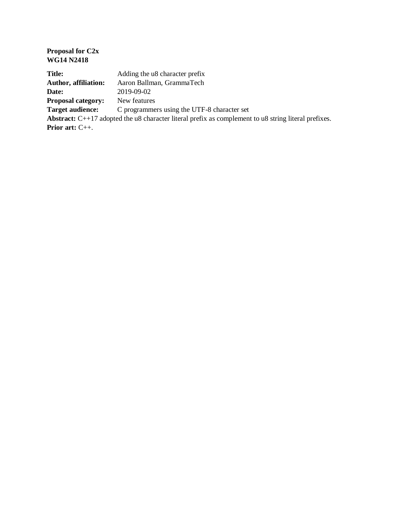| <b>Proposal for C2x</b><br><b>WG14 N2418</b>                                                                  |                                             |
|---------------------------------------------------------------------------------------------------------------|---------------------------------------------|
| <b>Title:</b>                                                                                                 | Adding the u8 character prefix              |
| <b>Author, affiliation:</b>                                                                                   | Aaron Ballman, GrammaTech                   |
| Date:                                                                                                         | 2019-09-02                                  |
| <b>Proposal category:</b>                                                                                     | New features                                |
| <b>Target audience:</b>                                                                                       | C programmers using the UTF-8 character set |
| <b>Abstract:</b> $C++17$ adopted the u8 character literal prefix as complement to u8 string literal prefixes. |                                             |
| <b>Prior art:</b> $C_{++}$ .                                                                                  |                                             |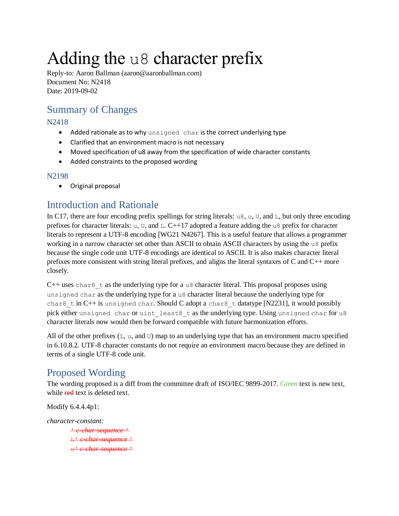# Adding the u8 character prefix

Reply-to: Aaron Ballman (aaron@aaronballman.com) Document No: N2418 Date: 2019-09-02

# Summary of Changes

#### N2418

- Added rationale as to why unsigned char is the correct underlying type
- Clarified that an environment macro is not necessary
- Moved specification of u8 away from the specification of wide character constants
- Added constraints to the proposed wording

#### N2198

Original proposal

## Introduction and Rationale

In C17, there are four encoding prefix spellings for string literals: u8, u, U, and L, but only three encoding prefixes for character literals: u, U, and L. C++17 adopted a feature adding the u8 prefix for character literals to represent a UTF-8 encoding [WG21 N4267]. This is a useful feature that allows a programmer working in a narrow character set other than ASCII to obtain ASCII characters by using the u8 prefix because the single code unit UTF-8 encodings are identical to ASCII. It is also makes character literal prefixes more consistent with string literal prefixes, and aligns the literal syntaxes of C and C++ more closely.

 $C++$  uses char $8$  t as the underlying type for a u8 character literal. This proposal proposes using unsigned char as the underlying type for a u8 character literal because the underlying type for char8 t in C++ is unsigned char. Should C adopt a char8 t datatype [N2231], it would possibly pick either unsigned char or uint least8 t as the underlying type. Using unsigned char for u8 character literals now would then be forward compatible with future harmonization efforts.

All of the other prefixes  $(L, u, and U)$  map to an underlying type that has an environment macro specified in 6.10.8.2. UTF-8 character constants do not require an environment macro because they are defined in terms of a single UTF-8 code unit.

## Proposed Wording

The wording proposed is a diff from the committee draft of ISO/IEC 9899-2017. Green text is new text, while red text is deleted text.

Modify 6.4.4.4p1:

*character-constant:* ' *c-char-sequence* ' L' *c-char-sequence* ' u' *c-char-sequence* '